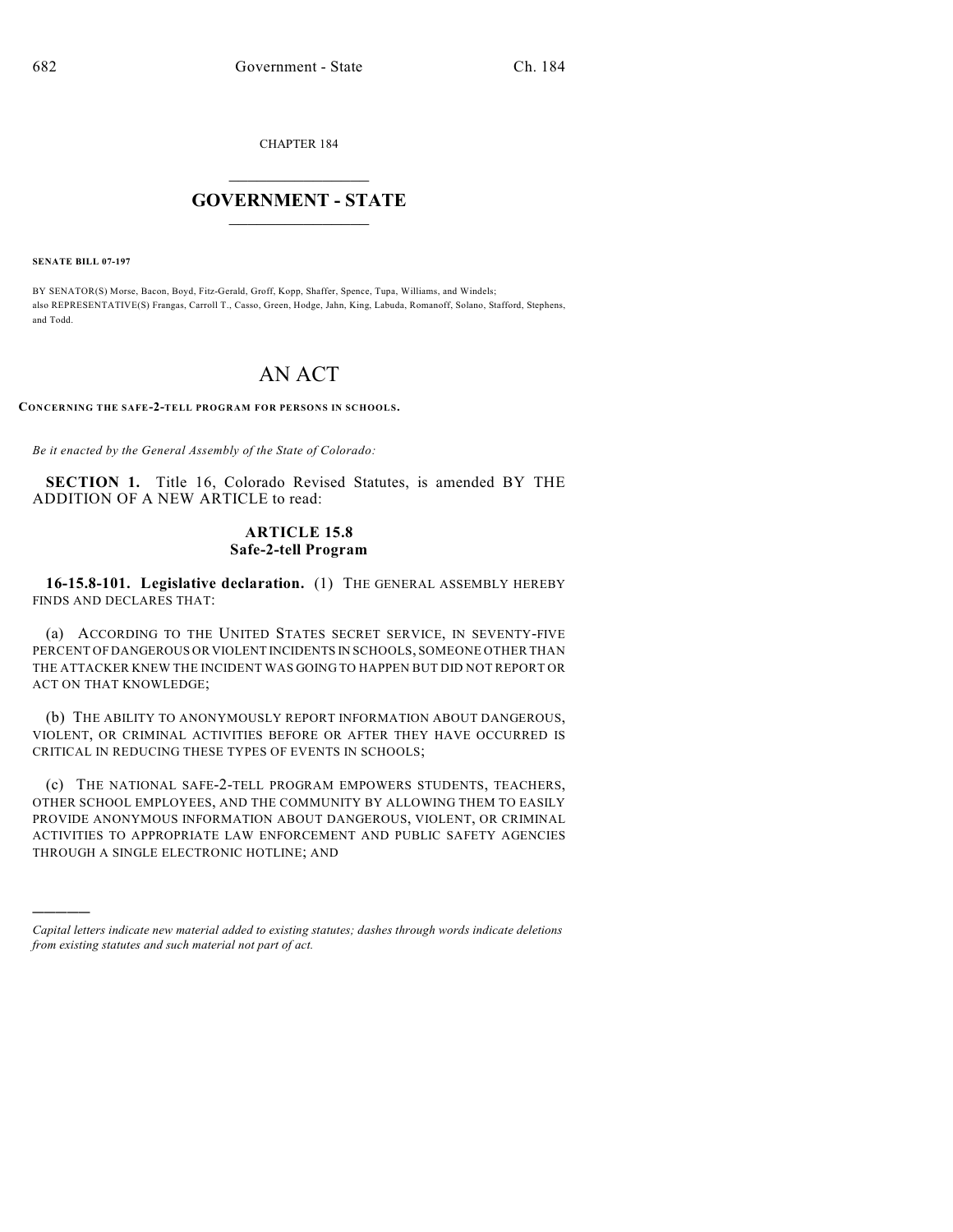CHAPTER 184

## $\overline{\phantom{a}}$  . The set of the set of the set of the set of the set of the set of the set of the set of the set of the set of the set of the set of the set of the set of the set of the set of the set of the set of the set o **GOVERNMENT - STATE**  $\_$

**SENATE BILL 07-197**

)))))

BY SENATOR(S) Morse, Bacon, Boyd, Fitz-Gerald, Groff, Kopp, Shaffer, Spence, Tupa, Williams, and Windels; also REPRESENTATIVE(S) Frangas, Carroll T., Casso, Green, Hodge, Jahn, King, Labuda, Romanoff, Solano, Stafford, Stephens, and Todd.

## AN ACT

**CONCERNING THE SAFE-2-TELL PROGRAM FOR PERSONS IN SCHOOLS.**

*Be it enacted by the General Assembly of the State of Colorado:*

**SECTION 1.** Title 16, Colorado Revised Statutes, is amended BY THE ADDITION OF A NEW ARTICLE to read:

## **ARTICLE 15.8 Safe-2-tell Program**

**16-15.8-101. Legislative declaration.** (1) THE GENERAL ASSEMBLY HEREBY FINDS AND DECLARES THAT:

(a) ACCORDING TO THE UNITED STATES SECRET SERVICE, IN SEVENTY-FIVE PERCENT OF DANGEROUS OR VIOLENT INCIDENTS IN SCHOOLS, SOMEONE OTHER THAN THE ATTACKER KNEW THE INCIDENT WAS GOING TO HAPPEN BUT DID NOT REPORT OR ACT ON THAT KNOWLEDGE;

(b) THE ABILITY TO ANONYMOUSLY REPORT INFORMATION ABOUT DANGEROUS, VIOLENT, OR CRIMINAL ACTIVITIES BEFORE OR AFTER THEY HAVE OCCURRED IS CRITICAL IN REDUCING THESE TYPES OF EVENTS IN SCHOOLS;

(c) THE NATIONAL SAFE-2-TELL PROGRAM EMPOWERS STUDENTS, TEACHERS, OTHER SCHOOL EMPLOYEES, AND THE COMMUNITY BY ALLOWING THEM TO EASILY PROVIDE ANONYMOUS INFORMATION ABOUT DANGEROUS, VIOLENT, OR CRIMINAL ACTIVITIES TO APPROPRIATE LAW ENFORCEMENT AND PUBLIC SAFETY AGENCIES THROUGH A SINGLE ELECTRONIC HOTLINE; AND

*Capital letters indicate new material added to existing statutes; dashes through words indicate deletions from existing statutes and such material not part of act.*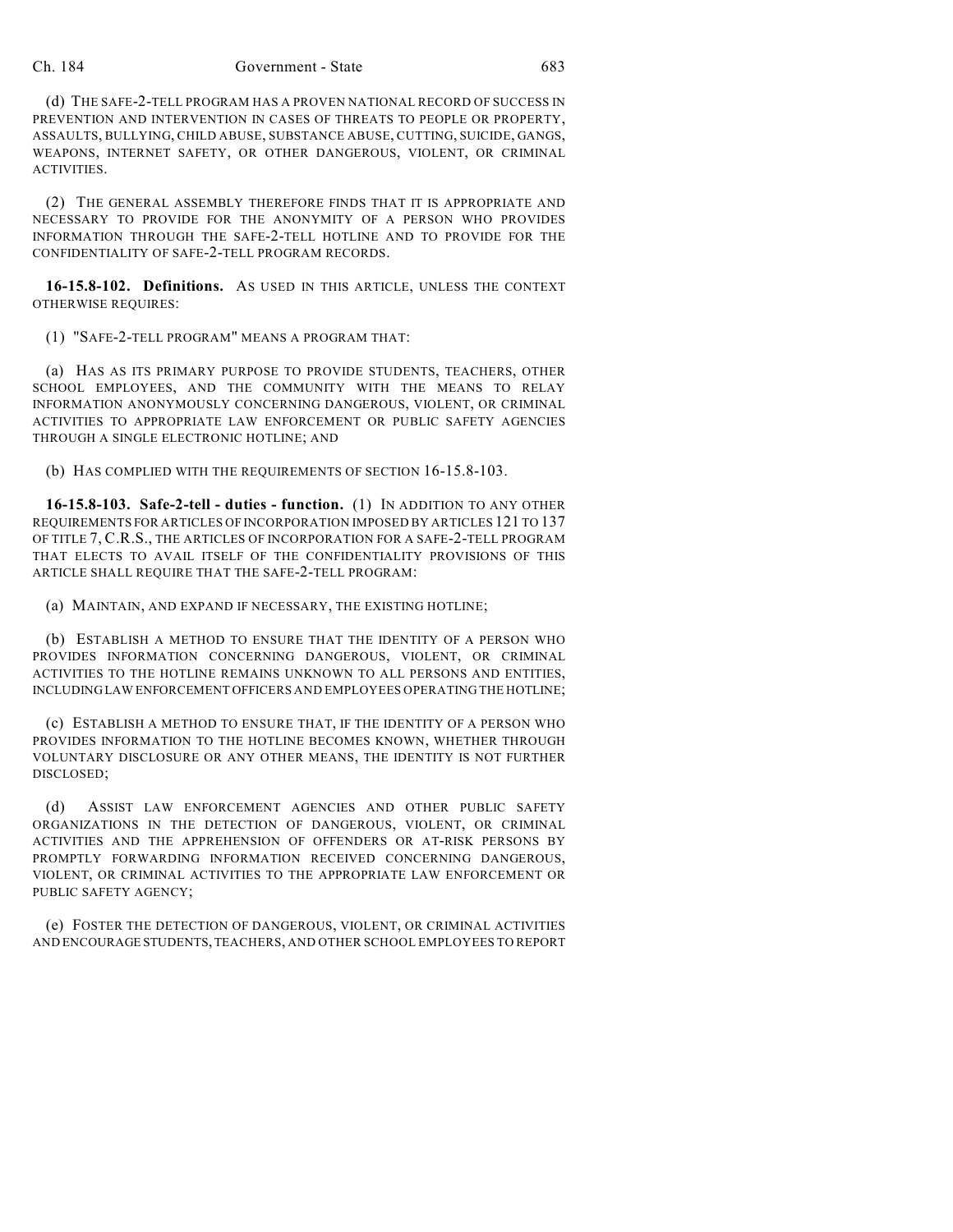## Ch. 184 Government - State 683

(d) THE SAFE-2-TELL PROGRAM HAS A PROVEN NATIONAL RECORD OF SUCCESS IN PREVENTION AND INTERVENTION IN CASES OF THREATS TO PEOPLE OR PROPERTY, ASSAULTS, BULLYING, CHILD ABUSE, SUBSTANCE ABUSE, CUTTING, SUICIDE, GANGS, WEAPONS, INTERNET SAFETY, OR OTHER DANGEROUS, VIOLENT, OR CRIMINAL ACTIVITIES.

(2) THE GENERAL ASSEMBLY THEREFORE FINDS THAT IT IS APPROPRIATE AND NECESSARY TO PROVIDE FOR THE ANONYMITY OF A PERSON WHO PROVIDES INFORMATION THROUGH THE SAFE-2-TELL HOTLINE AND TO PROVIDE FOR THE CONFIDENTIALITY OF SAFE-2-TELL PROGRAM RECORDS.

**16-15.8-102. Definitions.** AS USED IN THIS ARTICLE, UNLESS THE CONTEXT OTHERWISE REQUIRES:

(1) "SAFE-2-TELL PROGRAM" MEANS A PROGRAM THAT:

(a) HAS AS ITS PRIMARY PURPOSE TO PROVIDE STUDENTS, TEACHERS, OTHER SCHOOL EMPLOYEES, AND THE COMMUNITY WITH THE MEANS TO RELAY INFORMATION ANONYMOUSLY CONCERNING DANGEROUS, VIOLENT, OR CRIMINAL ACTIVITIES TO APPROPRIATE LAW ENFORCEMENT OR PUBLIC SAFETY AGENCIES THROUGH A SINGLE ELECTRONIC HOTLINE; AND

(b) HAS COMPLIED WITH THE REQUIREMENTS OF SECTION 16-15.8-103.

**16-15.8-103. Safe-2-tell - duties - function.** (1) IN ADDITION TO ANY OTHER REQUIREMENTS FOR ARTICLES OF INCORPORATION IMPOSED BY ARTICLES 121 TO 137 OF TITLE 7, C.R.S., THE ARTICLES OF INCORPORATION FOR A SAFE-2-TELL PROGRAM THAT ELECTS TO AVAIL ITSELF OF THE CONFIDENTIALITY PROVISIONS OF THIS ARTICLE SHALL REQUIRE THAT THE SAFE-2-TELL PROGRAM:

(a) MAINTAIN, AND EXPAND IF NECESSARY, THE EXISTING HOTLINE;

(b) ESTABLISH A METHOD TO ENSURE THAT THE IDENTITY OF A PERSON WHO PROVIDES INFORMATION CONCERNING DANGEROUS, VIOLENT, OR CRIMINAL ACTIVITIES TO THE HOTLINE REMAINS UNKNOWN TO ALL PERSONS AND ENTITIES, INCLUDING LAW ENFORCEMENT OFFICERS AND EMPLOYEES OPERATING THE HOTLINE;

(c) ESTABLISH A METHOD TO ENSURE THAT, IF THE IDENTITY OF A PERSON WHO PROVIDES INFORMATION TO THE HOTLINE BECOMES KNOWN, WHETHER THROUGH VOLUNTARY DISCLOSURE OR ANY OTHER MEANS, THE IDENTITY IS NOT FURTHER DISCLOSED;

(d) ASSIST LAW ENFORCEMENT AGENCIES AND OTHER PUBLIC SAFETY ORGANIZATIONS IN THE DETECTION OF DANGEROUS, VIOLENT, OR CRIMINAL ACTIVITIES AND THE APPREHENSION OF OFFENDERS OR AT-RISK PERSONS BY PROMPTLY FORWARDING INFORMATION RECEIVED CONCERNING DANGEROUS, VIOLENT, OR CRIMINAL ACTIVITIES TO THE APPROPRIATE LAW ENFORCEMENT OR PUBLIC SAFETY AGENCY;

(e) FOSTER THE DETECTION OF DANGEROUS, VIOLENT, OR CRIMINAL ACTIVITIES AND ENCOURAGE STUDENTS, TEACHERS, AND OTHER SCHOOL EMPLOYEES TO REPORT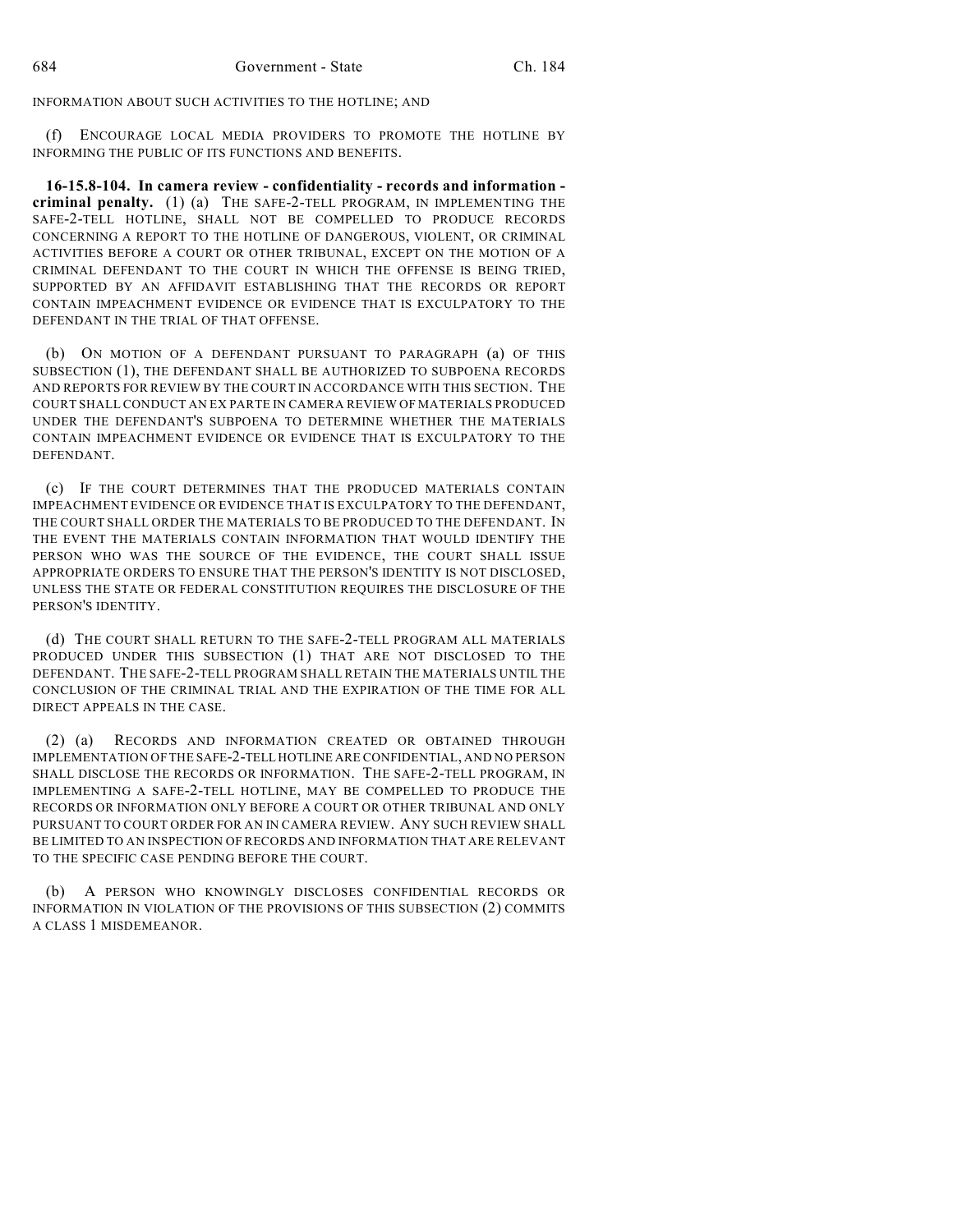INFORMATION ABOUT SUCH ACTIVITIES TO THE HOTLINE; AND

(f) ENCOURAGE LOCAL MEDIA PROVIDERS TO PROMOTE THE HOTLINE BY INFORMING THE PUBLIC OF ITS FUNCTIONS AND BENEFITS.

**16-15.8-104. In camera review - confidentiality - records and information criminal penalty.** (1) (a) THE SAFE-2-TELL PROGRAM, IN IMPLEMENTING THE SAFE-2-TELL HOTLINE, SHALL NOT BE COMPELLED TO PRODUCE RECORDS CONCERNING A REPORT TO THE HOTLINE OF DANGEROUS, VIOLENT, OR CRIMINAL ACTIVITIES BEFORE A COURT OR OTHER TRIBUNAL, EXCEPT ON THE MOTION OF A CRIMINAL DEFENDANT TO THE COURT IN WHICH THE OFFENSE IS BEING TRIED, SUPPORTED BY AN AFFIDAVIT ESTABLISHING THAT THE RECORDS OR REPORT CONTAIN IMPEACHMENT EVIDENCE OR EVIDENCE THAT IS EXCULPATORY TO THE DEFENDANT IN THE TRIAL OF THAT OFFENSE.

(b) ON MOTION OF A DEFENDANT PURSUANT TO PARAGRAPH (a) OF THIS SUBSECTION (1), THE DEFENDANT SHALL BE AUTHORIZED TO SUBPOENA RECORDS AND REPORTS FOR REVIEW BY THE COURT IN ACCORDANCE WITH THIS SECTION. THE COURT SHALL CONDUCT AN EX PARTE IN CAMERA REVIEW OF MATERIALS PRODUCED UNDER THE DEFENDANT'S SUBPOENA TO DETERMINE WHETHER THE MATERIALS CONTAIN IMPEACHMENT EVIDENCE OR EVIDENCE THAT IS EXCULPATORY TO THE DEFENDANT.

(c) IF THE COURT DETERMINES THAT THE PRODUCED MATERIALS CONTAIN IMPEACHMENT EVIDENCE OR EVIDENCE THAT IS EXCULPATORY TO THE DEFENDANT, THE COURT SHALL ORDER THE MATERIALS TO BE PRODUCED TO THE DEFENDANT. IN THE EVENT THE MATERIALS CONTAIN INFORMATION THAT WOULD IDENTIFY THE PERSON WHO WAS THE SOURCE OF THE EVIDENCE, THE COURT SHALL ISSUE APPROPRIATE ORDERS TO ENSURE THAT THE PERSON'S IDENTITY IS NOT DISCLOSED, UNLESS THE STATE OR FEDERAL CONSTITUTION REQUIRES THE DISCLOSURE OF THE PERSON'S IDENTITY.

(d) THE COURT SHALL RETURN TO THE SAFE-2-TELL PROGRAM ALL MATERIALS PRODUCED UNDER THIS SUBSECTION (1) THAT ARE NOT DISCLOSED TO THE DEFENDANT. THE SAFE-2-TELL PROGRAM SHALL RETAIN THE MATERIALS UNTIL THE CONCLUSION OF THE CRIMINAL TRIAL AND THE EXPIRATION OF THE TIME FOR ALL DIRECT APPEALS IN THE CASE.

(2) (a) RECORDS AND INFORMATION CREATED OR OBTAINED THROUGH IMPLEMENTATION OF THE SAFE-2-TELL HOTLINE ARE CONFIDENTIAL, AND NO PERSON SHALL DISCLOSE THE RECORDS OR INFORMATION. THE SAFE-2-TELL PROGRAM, IN IMPLEMENTING A SAFE-2-TELL HOTLINE, MAY BE COMPELLED TO PRODUCE THE RECORDS OR INFORMATION ONLY BEFORE A COURT OR OTHER TRIBUNAL AND ONLY PURSUANT TO COURT ORDER FOR AN IN CAMERA REVIEW. ANY SUCH REVIEW SHALL BE LIMITED TO AN INSPECTION OF RECORDS AND INFORMATION THAT ARE RELEVANT TO THE SPECIFIC CASE PENDING BEFORE THE COURT.

(b) A PERSON WHO KNOWINGLY DISCLOSES CONFIDENTIAL RECORDS OR INFORMATION IN VIOLATION OF THE PROVISIONS OF THIS SUBSECTION (2) COMMITS A CLASS 1 MISDEMEANOR.